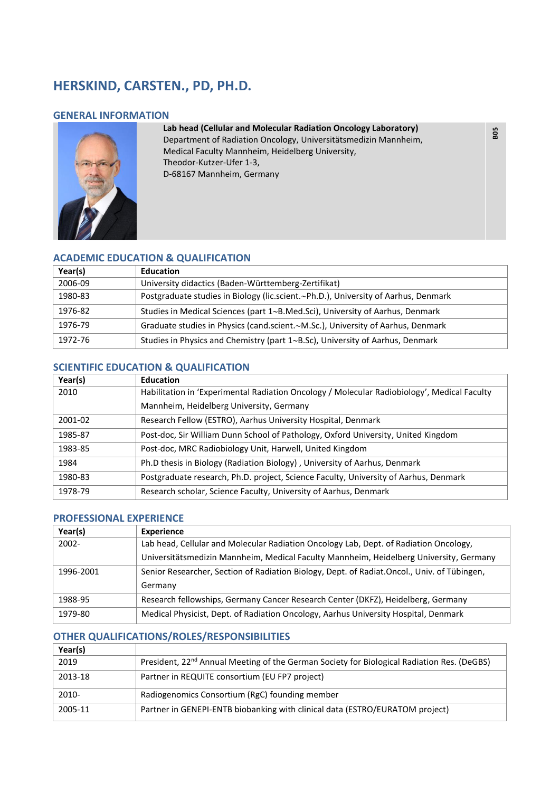# **HERSKIND, CARSTEN., PD, PH.D.**

## **GENERAL INFORMATION**



# **Lab head (Cellular and Molecular Radiation Oncology Laboratory)**

 **B05** 

Department of Radiation Oncology, Universitätsmedizin Mannheim, Medical Faculty Mannheim, Heidelberg University, Theodor-Kutzer-Ufer 1-3, D-68167 Mannheim, Germany

# **ACADEMIC EDUCATION & QUALIFICATION**

| Year(s) | <b>Education</b>                                                                   |
|---------|------------------------------------------------------------------------------------|
| 2006-09 | University didactics (Baden-Württemberg-Zertifikat)                                |
| 1980-83 | Postgraduate studies in Biology (lic.scient.~Ph.D.), University of Aarhus, Denmark |
| 1976-82 | Studies in Medical Sciences (part 1~B.Med.Sci), University of Aarhus, Denmark      |
| 1976-79 | Graduate studies in Physics (cand.scient.~M.Sc.), University of Aarhus, Denmark    |
| 1972-76 | Studies in Physics and Chemistry (part 1~B.Sc), University of Aarhus, Denmark      |

# **SCIENTIFIC EDUCATION & QUALIFICATION**

| Year(s) | <b>Education</b>                                                                            |
|---------|---------------------------------------------------------------------------------------------|
| 2010    | Habilitation in 'Experimental Radiation Oncology / Molecular Radiobiology', Medical Faculty |
|         | Mannheim, Heidelberg University, Germany                                                    |
| 2001-02 | Research Fellow (ESTRO), Aarhus University Hospital, Denmark                                |
| 1985-87 | Post-doc, Sir William Dunn School of Pathology, Oxford University, United Kingdom           |
| 1983-85 | Post-doc, MRC Radiobiology Unit, Harwell, United Kingdom                                    |
| 1984    | Ph.D thesis in Biology (Radiation Biology), University of Aarhus, Denmark                   |
| 1980-83 | Postgraduate research, Ph.D. project, Science Faculty, University of Aarhus, Denmark        |
| 1978-79 | Research scholar, Science Faculty, University of Aarhus, Denmark                            |

### **PROFESSIONAL EXPERIENCE**

| Year(s)   | <b>Experience</b>                                                                           |
|-----------|---------------------------------------------------------------------------------------------|
| 2002-     | Lab head, Cellular and Molecular Radiation Oncology Lab, Dept. of Radiation Oncology,       |
|           | Universitätsmedizin Mannheim, Medical Faculty Mannheim, Heidelberg University, Germany      |
| 1996-2001 | Senior Researcher, Section of Radiation Biology, Dept. of Radiat.Oncol., Univ. of Tübingen, |
|           | Germany                                                                                     |
| 1988-95   | Research fellowships, Germany Cancer Research Center (DKFZ), Heidelberg, Germany            |
| 1979-80   | Medical Physicist, Dept. of Radiation Oncology, Aarhus University Hospital, Denmark         |

### **OTHER QUALIFICATIONS/ROLES/RESPONSIBILITIES**

| Year(s) |                                                                                                        |
|---------|--------------------------------------------------------------------------------------------------------|
| 2019    | President, 22 <sup>nd</sup> Annual Meeting of the German Society for Biological Radiation Res. (DeGBS) |
| 2013-18 | Partner in REQUITE consortium (EU FP7 project)                                                         |
| 2010-   | Radiogenomics Consortium (RgC) founding member                                                         |
| 2005-11 | Partner in GENEPI-ENTB biobanking with clinical data (ESTRO/EURATOM project)                           |